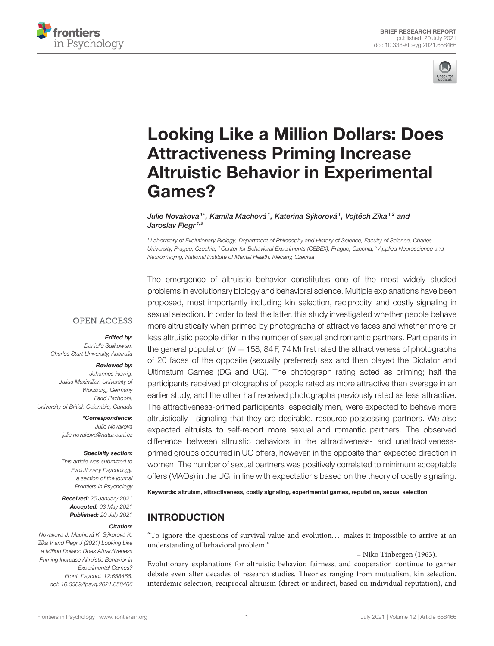



# [Looking Like a Million Dollars: Does](https://www.frontiersin.org/articles/10.3389/fpsyg.2021.658466/full) Attractiveness Priming Increase Altruistic Behavior in Experimental Games?

Julie Novakova †\*, Kamila Machová <sup>1</sup>, Katerina Sýkorová <sup>1</sup>, Vojtěch Zíka <sup>1,2</sup> and Jaroslav Flegr<sup>1,3</sup>

<sup>1</sup> Laboratory of Evolutionary Biology, Department of Philosophy and History of Science, Faculty of Science, Charles University, Prague, Czechia, <sup>2</sup> Center for Behavioral Experiments (CEBEX), Prague, Czechia, <sup>3</sup> Applied Neuroscience and Neuroimaging, National Institute of Mental Health, Klecany, Czechia

The emergence of altruistic behavior constitutes one of the most widely studied problems in evolutionary biology and behavioral science. Multiple explanations have been proposed, most importantly including kin selection, reciprocity, and costly signaling in sexual selection. In order to test the latter, this study investigated whether people behave more altruistically when primed by photographs of attractive faces and whether more or less altruistic people differ in the number of sexual and romantic partners. Participants in the general population ( $N = 158$ , 84 F, 74 M) first rated the attractiveness of photographs of 20 faces of the opposite (sexually preferred) sex and then played the Dictator and Ultimatum Games (DG and UG). The photograph rating acted as priming; half the participants received photographs of people rated as more attractive than average in an earlier study, and the other half received photographs previously rated as less attractive. The attractiveness-primed participants, especially men, were expected to behave more altruistically—signaling that they are desirable, resource-possessing partners. We also expected altruists to self-report more sexual and romantic partners. The observed difference between altruistic behaviors in the attractiveness- and unattractivenessprimed groups occurred in UG offers, however, in the opposite than expected direction in women. The number of sexual partners was positively correlated to minimum acceptable offers (MAOs) in the UG, in line with expectations based on the theory of costly signaling.

Keywords: altruism, attractiveness, costly signaling, experimental games, reputation, sexual selection

# INTRODUCTION

"To ignore the questions of survival value and evolution... makes it impossible to arrive at an understanding of behavioral problem."

– Niko Tinbergen (1963).

Evolutionary explanations for altruistic behavior, fairness, and cooperation continue to garner debate even after decades of research studies. Theories ranging from mutualism, kin selection, interdemic selection, reciprocal altruism (direct or indirect, based on individual reputation), and

## **OPEN ACCESS**

#### Edited by:

Danielle Sulikowski, Charles Sturt University, Australia

#### Reviewed by:

Johannes Hewig, Julius Maximilian University of Würzburg, Germany Farid Pazhoohi, University of British Columbia, Canada

> \*Correspondence: Julie Novakova [julie.novakova@natur.cuni.cz](mailto:julie.novakova@natur.cuni.cz)

#### Specialty section:

This article was submitted to Evolutionary Psychology, a section of the journal Frontiers in Psychology

Received: 25 January 2021 Accepted: 03 May 2021 Published: 20 July 2021

#### Citation:

Novakova J, Machová K, Sýkorová K, Zíka V and Flegr J (2021) Looking Like a Million Dollars: Does Attractiveness Priming Increase Altruistic Behavior in Experimental Games? Front. Psychol. 12:658466. doi: [10.3389/fpsyg.2021.658466](https://doi.org/10.3389/fpsyg.2021.658466)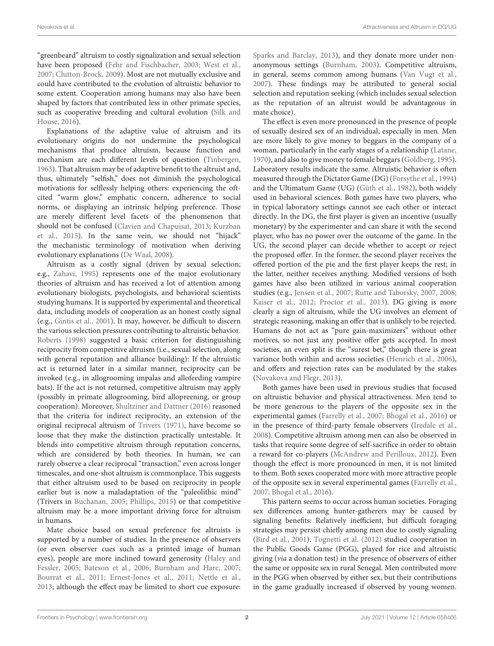"greenbeard" altruism to costly signalization and sexual selection have been proposed [\(Fehr and Fischbacher, 2003;](#page-7-0) [West et al.,](#page-8-0) [2007;](#page-8-0) [Clutton-Brock, 2009\)](#page-6-0). Most are not mutually exclusive and could have contributed to the evolution of altruistic behavior to some extent. Cooperation among humans may also have been shaped by factors that contributed less in other primate species, such as cooperative breeding and cultural evolution (Silk and House, [2016\)](#page-7-1).

Explanations of the adaptive value of altruism and its evolutionary origins do not undermine the psychological mechanisms that produce altruism, because function and mechanism are each different levels of question [\(Tinbergen,](#page-7-2) [1963\)](#page-7-2). That altruism may be of adaptive benefit to the altruist and, thus, ultimately "selfish," does not diminish the psychological motivations for selflessly helping others: experiencing the oftcited "warm glow," emphatic concern, adherence to social norms, or displaying an intrinsic helping preference. Those are merely different level facets of the phenomenon that should not be confused [\(Clavien and Chapuisat, 2013;](#page-6-1) Kurzban et al., [2015\)](#page-7-3). In the same vein, we should not "hijack" the mechanistic terminology of motivation when deriving evolutionary explanations [\(De Waal, 2008\)](#page-6-2).

Altruism as a costly signal (driven by sexual selection; e.g., [Zahavi, 1995\)](#page-8-1) represents one of the major evolutionary theories of altruism and has received a lot of attention among evolutionary biologists, psychologists, and behavioral scientists studying humans. It is supported by experimental and theoretical data, including models of cooperation as an honest costly signal (e.g., [Gintis et al., 2001\)](#page-7-4). It may, however, be difficult to discern the various selection pressures contributing to altruistic behavior. [Roberts \(1998\)](#page-7-5) suggested a basic criterion for distinguishing reciprocity from competitive altruism (i.e., sexual selection, along with general reputation and alliance building): If the altruistic act is returned later in a similar manner, reciprocity can be invoked (e.g., in allogrooming impalas and allofeeding vampire bats). If the act is not returned, competitive altruism may apply (possibly in primate allogrooming, bird allopreening, or group cooperation). Moreover, [Shultziner and Dattner \(2016\)](#page-7-6) reasoned that the criteria for indirect reciprocity, an extension of the original reciprocal altruism of [Trivers \(1971\)](#page-8-2), have become so loose that they make the distinction practically untestable. It blends into competitive altruism through reputation concerns, which are considered by both theories. In human, we can rarely observe a clear reciprocal "transaction," even across longer timescales, and one-shot altruism is commonplace. This suggests that either altruism used to be based on reciprocity in people earlier but is now a maladaptation of the "paleolithic mind" (Trivers in [Buchanan, 2005;](#page-6-3) [Phillips, 2015\)](#page-7-7) or that competitive altruism may be a more important driving force for altruism in humans.

Mate choice based on sexual preference for altruists is supported by a number of studies. In the presence of observers (or even observer cues such as a printed image of human eyes), people are more inclined toward generosity (Haley and Fessler, [2005;](#page-7-8) [Bateson et al., 2006;](#page-6-4) [Burnham and Hare, 2007;](#page-6-5) [Bourrat et al., 2011;](#page-6-6) [Ernest-Jones et al., 2011;](#page-7-9) [Nettle et al.,](#page-7-10) [2013;](#page-7-10) although the effect may be limited to short cue exposure: [Sparks and Barclay, 2013\)](#page-7-11), and they donate more under nonanonymous settings [\(Burnham, 2003\)](#page-6-7). Competitive altruism, in general, seems common among humans [\(Van Vugt et al.,](#page-8-3) [2007\)](#page-8-3). These findings may be attributed to general social selection and reputation seeking (which includes sexual selection as the reputation of an altruist would be advantageous in mate choice).

The effect is even more pronounced in the presence of people of sexually desired sex of an individual, especially in men. Men are more likely to give money to beggars in the company of a woman, particularly in the early stages of a relationship [\(Latane,](#page-7-12) [1970\)](#page-7-12), and also to give money to female beggars [\(Goldberg, 1995\)](#page-7-13). Laboratory results indicate the same. Altruistic behavior is often measured through the Dictator Game (DG) [\(Forsythe et al., 1994\)](#page-7-14) and the Ultimatum Game (UG) [\(Güth et al., 1982\)](#page-7-15), both widely used in behavioral sciences. Both games have two players, who in typical laboratory settings cannot see each other or interact directly. In the DG, the first player is given an incentive (usually monetary) by the experimenter and can share it with the second player, who has no power over the outcome of the game. In the UG, the second player can decide whether to accept or reject the proposed offer. In the former, the second player receives the offered portion of the pie and the first player keeps the rest; in the latter, neither receives anything. Modified versions of both games have also been utilized in various animal cooperation studies (e.g., [Jensen et al., 2007;](#page-7-16) [Rutte and Taborsky, 2007,](#page-7-17) [2008;](#page-7-18) [Kaiser et al., 2012;](#page-7-19) [Proctor et al., 2013\)](#page-7-20). DG giving is more clearly a sign of altruism, while the UG involves an element of strategic reasoning, making an offer that is unlikely to be rejected. Humans do not act as "pure gain-maximizers" without other motives, so not just any positive offer gets accepted. In most societies, an even split is the "surest bet," though there is great variance both within and across societies [\(Henrich et al., 2006\)](#page-7-21), and offers and rejection rates can be modulated by the stakes [\(Novakova and Flegr, 2013\)](#page-7-22).

Both games have been used in previous studies that focused on altruistic behavior and physical attractiveness. Men tend to be more generous to the players of the opposite sex in the experimental games [\(Farrelly et al., 2007;](#page-7-23) [Bhogal et al., 2016\)](#page-6-8) or in the presence of third-party female observers [\(Iredale et al.,](#page-7-24) [2008\)](#page-7-24). Competitive altruism among men can also be observed in tasks that require some degree of self-sacrifice in order to obtain a reward for co-players [\(McAndrew and Perilloux, 2012\)](#page-7-25). Even though the effect is more pronounced in men, it is not limited to them. Both sexes cooperated more with more attractive people of the opposite sex in several experimental games [\(Farrelly et al.,](#page-7-23) [2007;](#page-7-23) [Bhogal et al., 2016\)](#page-6-8).

This pattern seems to occur across human societies. Foraging sex differences among hunter-gatherers may be caused by signaling benefits: Relatively inefficient, but difficult foraging strategies may persist chiefly among men due to costly signaling [\(Bird et al., 2001\)](#page-6-9). [Tognetti et al. \(2012\)](#page-7-26) studied cooperation in the Public Goods Game (PGG), played for rice and altruistic giving (via a donation test) in the presence of observers of either the same or opposite sex in rural Senegal. Men contributed more in the PGG when observed by either sex, but their contributions in the game gradually increased if observed by young women.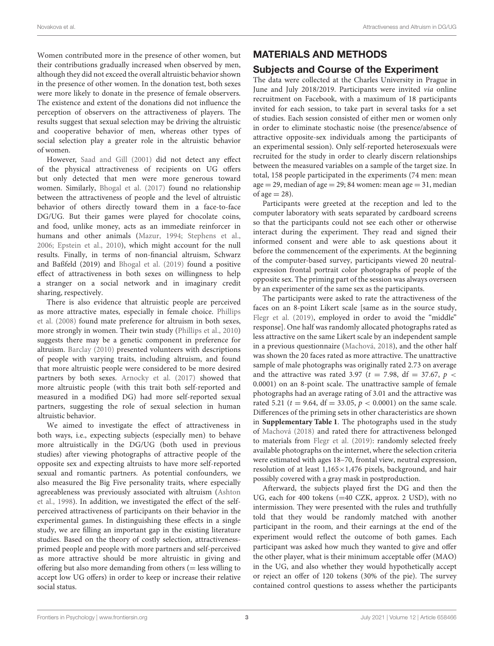Women contributed more in the presence of other women, but their contributions gradually increased when observed by men, although they did not exceed the overall altruistic behavior shown in the presence of other women. In the donation test, both sexes were more likely to donate in the presence of female observers. The existence and extent of the donations did not influence the perception of observers on the attractiveness of players. The results suggest that sexual selection may be driving the altruistic and cooperative behavior of men, whereas other types of social selection play a greater role in the altruistic behavior of women.

However, [Saad and Gill \(2001\)](#page-7-27) did not detect any effect of the physical attractiveness of recipients on UG offers but only detected that men were more generous toward women. Similarly, [Bhogal et al. \(2017\)](#page-6-10) found no relationship between the attractiveness of people and the level of altruistic behavior of others directly toward them in a face-to-face DG/UG. But their games were played for chocolate coins, and food, unlike money, acts as an immediate reinforcer in humans and other animals [\(Mazur, 1994;](#page-7-28) [Stephens et al.,](#page-7-29) [2006;](#page-7-29) [Epstein et al., 2010\)](#page-6-11), which might account for the null results. Finally, in terms of non-financial altruism, Schwarz and Baßfeld (2019) and [Bhogal et al. \(2019\)](#page-6-12) found a positive effect of attractiveness in both sexes on willingness to help a stranger on a social network and in imaginary credit sharing, respectively.

There is also evidence that altruistic people are perceived as more attractive mates, especially in female choice. Phillips et al. [\(2008\)](#page-7-30) found mate preference for altruism in both sexes, more strongly in women. Their twin study [\(Phillips et al., 2010\)](#page-7-31) suggests there may be a genetic component in preference for altruism. [Barclay \(2010\)](#page-6-13) presented volunteers with descriptions of people with varying traits, including altruism, and found that more altruistic people were considered to be more desired partners by both sexes. [Arnocky et al. \(2017\)](#page-6-14) showed that more altruistic people (with this trait both self-reported and measured in a modified DG) had more self-reported sexual partners, suggesting the role of sexual selection in human altruistic behavior.

We aimed to investigate the effect of attractiveness in both ways, i.e., expecting subjects (especially men) to behave more altruistically in the DG/UG (both used in previous studies) after viewing photographs of attractive people of the opposite sex and expecting altruists to have more self-reported sexual and romantic partners. As potential confounders, we also measured the Big Five personality traits, where especially agreeableness was previously associated with altruism (Ashton et al., [1998\)](#page-6-15). In addition, we investigated the effect of the selfperceived attractiveness of participants on their behavior in the experimental games. In distinguishing these effects in a single study, we are filling an important gap in the existing literature studies. Based on the theory of costly selection, attractivenessprimed people and people with more partners and self-perceived as more attractive should be more altruistic in giving and offering but also more demanding from others  $($  = less willing to accept low UG offers) in order to keep or increase their relative social status.

# MATERIALS AND METHODS

# Subjects and Course of the Experiment

The data were collected at the Charles University in Prague in June and July 2018/2019. Participants were invited via online recruitment on Facebook, with a maximum of 18 participants invited for each session, to take part in several tasks for a set of studies. Each session consisted of either men or women only in order to eliminate stochastic noise (the presence/absence of attractive opposite-sex individuals among the participants of an experimental session). Only self-reported heterosexuals were recruited for the study in order to clearly discern relationships between the measured variables on a sample of the target size. In total, 158 people participated in the experiments (74 men: mean  $age = 29$ , median of age = 29; 84 women: mean age = 31, median of age  $= 28$ ).

Participants were greeted at the reception and led to the computer laboratory with seats separated by cardboard screens so that the participants could not see each other or otherwise interact during the experiment. They read and signed their informed consent and were able to ask questions about it before the commencement of the experiments. At the beginning of the computer-based survey, participants viewed 20 neutralexpression frontal portrait color photographs of people of the opposite sex. The priming part of the session was always overseen by an experimenter of the same sex as the participants.

The participants were asked to rate the attractiveness of the faces on an 8-point Likert scale [same as in the source study, [Flegr et al. \(2019\)](#page-7-32), employed in order to avoid the "middle" response]. One half was randomly allocated photographs rated as less attractive on the same Likert scale by an independent sample in a previous questionnaire [\(Machová, 2018\)](#page-7-33), and the other half was shown the 20 faces rated as more attractive. The unattractive sample of male photographs was originally rated 2.73 on average and the attractive was rated 3.97 ( $t = 7.98$ , df = 37.67,  $p \lt \sqrt{ }$ 0.0001) on an 8-point scale. The unattractive sample of female photographs had an average rating of 3.01 and the attractive was rated 5.21 ( $t = 9.64$ , df = 33.05,  $p < 0.0001$ ) on the same scale. Differences of the priming sets in other characteristics are shown in **[Supplementary Table 1](#page-6-16)**. The photographs used in the study of [Machová \(2018\)](#page-7-33) and rated there for attractiveness belonged to materials from [Flegr et al. \(2019\)](#page-7-32): randomly selected freely available photographs on the internet, where the selection criteria were estimated with ages 18–70, frontal view, neutral expression, resolution of at least  $1,165\times1,476$  pixels, background, and hair possibly covered with a gray mask in postproduction.

Afterward, the subjects played first the DG and then the UG, each for 400 tokens (=40 CZK, approx. 2 USD), with no intermission. They were presented with the rules and truthfully told that they would be randomly matched with another participant in the room, and their earnings at the end of the experiment would reflect the outcome of both games. Each participant was asked how much they wanted to give and offer the other player, what is their minimum acceptable offer (MAO) in the UG, and also whether they would hypothetically accept or reject an offer of 120 tokens (30% of the pie). The survey contained control questions to assess whether the participants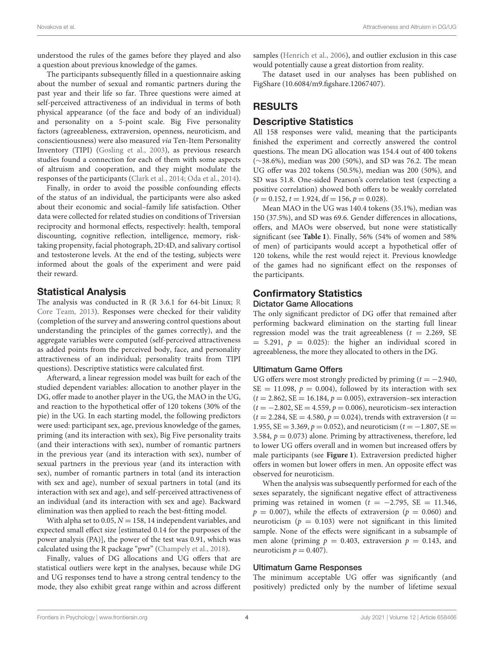understood the rules of the games before they played and also a question about previous knowledge of the games.

The participants subsequently filled in a questionnaire asking about the number of sexual and romantic partners during the past year and their life so far. Three questions were aimed at self-perceived attractiveness of an individual in terms of both physical appearance (of the face and body of an individual) and personality on a 5-point scale. Big Five personality factors (agreeableness, extraversion, openness, neuroticism, and conscientiousness) were also measured via Ten-Item Personality Inventory (TIPI) [\(Gosling et al., 2003\)](#page-7-34), as previous research studies found a connection for each of them with some aspects of altruism and cooperation, and they might modulate the responses of the participants [\(Clark et al., 2014;](#page-6-17) [Oda et al., 2014\)](#page-7-35).

Finally, in order to avoid the possible confounding effects of the status of an individual, the participants were also asked about their economic and social–family life satisfaction. Other data were collected for related studies on conditions of Triversian reciprocity and hormonal effects, respectively: health, temporal discounting, cognitive reflection, intelligence, memory, risktaking propensity, facial photograph, 2D:4D, and salivary cortisol and testosterone levels. At the end of the testing, subjects were informed about the goals of the experiment and were paid their reward.

## Statistical Analysis

The analysis was conducted in R (R 3.6.1 for 64-bit Linux; R Core Team, [2013\)](#page-7-36). Responses were checked for their validity (completion of the survey and answering control questions about understanding the principles of the games correctly), and the aggregate variables were computed (self-perceived attractiveness as added points from the perceived body, face, and personality attractiveness of an individual; personality traits from TIPI questions). Descriptive statistics were calculated first.

Afterward, a linear regression model was built for each of the studied dependent variables: allocation to another player in the DG, offer made to another player in the UG, the MAO in the UG, and reaction to the hypothetical offer of 120 tokens (30% of the pie) in the UG. In each starting model, the following predictors were used: participant sex, age, previous knowledge of the games, priming (and its interaction with sex), Big Five personality traits (and their interactions with sex), number of romantic partners in the previous year (and its interaction with sex), number of sexual partners in the previous year (and its interaction with sex), number of romantic partners in total (and its interaction with sex and age), number of sexual partners in total (and its interaction with sex and age), and self-perceived attractiveness of an individual (and its interaction with sex and age). Backward elimination was then applied to reach the best-fitting model.

With alpha set to 0.05,  $N = 158$ , 14 independent variables, and expected small effect size [estimated 0.14 for the purposes of the power analysis (PA)], the power of the test was 0.91, which was calculated using the R package "pwr" [\(Champely et al., 2018\)](#page-6-18).

Finally, values of DG allocations and UG offers that are statistical outliers were kept in the analyses, because while DG and UG responses tend to have a strong central tendency to the mode, they also exhibit great range within and across different samples [\(Henrich et al., 2006\)](#page-7-21), and outlier exclusion in this case would potentially cause a great distortion from reality.

The dataset used in our analyses has been published on FigShare (10.6084/m9.figshare.12067407).

# RESULTS

## Descriptive Statistics

All 158 responses were valid, meaning that the participants finished the experiment and correctly answered the control questions. The mean DG allocation was 154.4 out of 400 tokens (∼38.6%), median was 200 (50%), and SD was 76.2. The mean UG offer was 202 tokens (50.5%), median was 200 (50%), and SD was 51.8. One-sided Pearson's correlation test (expecting a positive correlation) showed both offers to be weakly correlated  $(r = 0.152, t = 1.924, df = 156, p = 0.028).$ 

Mean MAO in the UG was 140.4 tokens (35.1%), median was 150 (37.5%), and SD was 69.6. Gender differences in allocations, offers, and MAOs were observed, but none were statistically significant (see **[Table 1](#page-4-0)**). Finally, 56% (54% of women and 58% of men) of participants would accept a hypothetical offer of 120 tokens, while the rest would reject it. Previous knowledge of the games had no significant effect on the responses of the participants.

# Confirmatory Statistics

## Dictator Game Allocations

The only significant predictor of DG offer that remained after performing backward elimination on the starting full linear regression model was the trait agreeableness ( $t = 2.269$ , SE  $= 5.291, p = 0.025$ : the higher an individual scored in agreeableness, the more they allocated to others in the DG.

## Ultimatum Game Offers

UG offers were most strongly predicted by priming ( $t = -2.940$ ,  $SE = 11.098$ ,  $p = 0.004$ ), followed by its interaction with sex  $(t = 2.862, SE = 16.184, p = 0.005)$ , extraversion–sex interaction  $(t = -2.802, SE = 4.559, p = 0.006)$ , neuroticism–sex interaction  $(t = 2.284, SE = 4.580, p = 0.024)$ , trends with extraversion  $(t = 1.580, p = 0.024)$ 1.955, SE = 3.369,  $p = 0.052$ ), and neuroticism ( $t = -1.807$ , SE = 3.584,  $p = 0.073$ ) alone. Priming by attractiveness, therefore, led to lower UG offers overall and in women but increased offers by male participants (see **[Figure 1](#page-4-1)**). Extraversion predicted higher offers in women but lower offers in men. An opposite effect was observed for neuroticism.

When the analysis was subsequently performed for each of the sexes separately, the significant negative effect of attractiveness priming was retained in women ( $t = -2.795$ , SE = 11.346,  $p = 0.007$ , while the effects of extraversion ( $p = 0.060$ ) and neuroticism ( $p = 0.103$ ) were not significant in this limited sample. None of the effects were significant in a subsample of men alone (priming  $p = 0.403$ , extraversion  $p = 0.143$ , and neuroticism  $p = 0.407$ ).

#### Ultimatum Game Responses

The minimum acceptable UG offer was significantly (and positively) predicted only by the number of lifetime sexual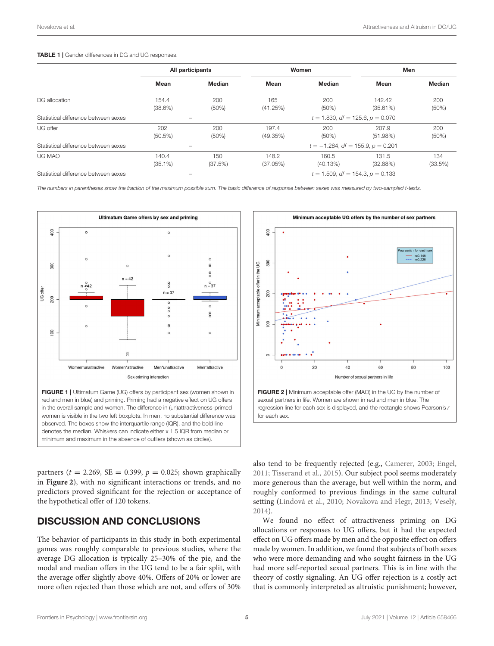#### <span id="page-4-0"></span>TABLE 1 | Gender differences in DG and UG responses.

|                                      | All participants         |                          | Women                                  |                   | Men                   |                 |
|--------------------------------------|--------------------------|--------------------------|----------------------------------------|-------------------|-----------------------|-----------------|
|                                      | Mean                     | Median                   | Mean                                   | Median            | Mean                  | Median          |
| DG allocation                        | 154.4<br>$(38.6\%)$      | 200<br>(50%)             | 165<br>(41.25%)                        | 200<br>$(50\%)$   | 142.42<br>$(35.61\%)$ | 200<br>$(50\%)$ |
| Statistical difference between sexes |                          | $\overline{\phantom{a}}$ | $t = 1.830$ , df = 125.6, $p = 0.070$  |                   |                       |                 |
| UG offer                             | 202<br>$(50.5\%)$        | 200<br>(50%)             | 197.4<br>(49.35%)                      | 200<br>$(50\%)$   | 207.9<br>(51.98%)     | 200<br>$(50\%)$ |
| Statistical difference between sexes | $\overline{\phantom{a}}$ |                          | $t = -1.284$ , df = 155.9, $p = 0.201$ |                   |                       |                 |
| UG MAO                               | 140.4<br>$(35.1\%)$      | 150<br>(37.5%)           | 148.2<br>(37.05%)                      | 160.5<br>(40.13%) | 131.5<br>(32.88%)     | 134<br>(33.5%)  |
| Statistical difference between sexes |                          |                          | $t = 1.509$ , df = 154.3, $p = 0.133$  |                   |                       |                 |

The numbers in parentheses show the fraction of the maximum possible sum. The basic difference of response between sexes was measured by two-sampled t-tests.



<span id="page-4-1"></span>FIGURE 1 | Ultimatum Game (UG) offers by participant sex (women shown in red and men in blue) and priming. Priming had a negative effect on UG offers in the overall sample and women. The difference in (un)attractiveness-primed women is visible in the two left boxplots. In men, no substantial difference was observed. The boxes show the interquartile range (IQR), and the bold line denotes the median. Whiskers can indicate either x 1.5 IQR from median or minimum and maximum in the absence of outliers (shown as circles).

partners ( $t = 2.269$ , SE = 0.399,  $p = 0.025$ ; shown graphically in **[Figure 2](#page-4-2)**), with no significant interactions or trends, and no predictors proved significant for the rejection or acceptance of the hypothetical offer of 120 tokens.

# DISCUSSION AND CONCLUSIONS

The behavior of participants in this study in both experimental games was roughly comparable to previous studies, where the average DG allocation is typically 25–30% of the pie, and the modal and median offers in the UG tend to be a fair split, with the average offer slightly above 40%. Offers of 20% or lower are more often rejected than those which are not, and offers of 30%



<span id="page-4-2"></span>sexual partners in life. Women are shown in red and men in blue. The regression line for each sex is displayed, and the rectangle shows Pearson's r for each sex.

also tend to be frequently rejected (e.g., [Camerer, 2003;](#page-6-19) [Engel,](#page-6-20) [2011;](#page-6-20) [Tisserand et al., 2015\)](#page-7-37). Our subject pool seems moderately more generous than the average, but well within the norm, and roughly conformed to previous findings in the same cultural setting [\(Lindová et al., 2010;](#page-7-38) [Novakova and Flegr, 2013;](#page-7-22) [Veselý,](#page-8-4) [2014\)](#page-8-4).

We found no effect of attractiveness priming on DG allocations or responses to UG offers, but it had the expected effect on UG offers made by men and the opposite effect on offers made by women. In addition, we found that subjects of both sexes who were more demanding and who sought fairness in the UG had more self-reported sexual partners. This is in line with the theory of costly signaling. An UG offer rejection is a costly act that is commonly interpreted as altruistic punishment; however,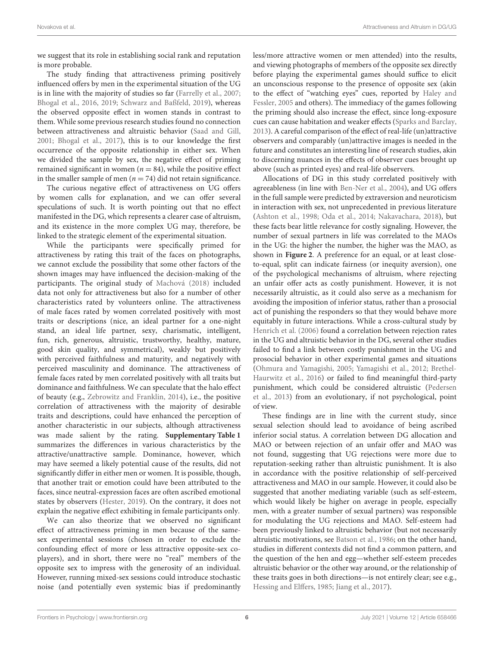we suggest that its role in establishing social rank and reputation is more probable.

The study finding that attractiveness priming positively influenced offers by men in the experimental situation of the UG is in line with the majority of studies so far [\(Farrelly et al., 2007;](#page-7-23) [Bhogal et al., 2016,](#page-6-8) [2019;](#page-6-12) [Schwarz and Baßfeld, 2019\)](#page-7-39), whereas the observed opposite effect in women stands in contrast to them. While some previous research studies found no connection between attractiveness and altruistic behavior [\(Saad and Gill,](#page-7-27) [2001;](#page-7-27) [Bhogal et al., 2017\)](#page-6-10), this is to our knowledge the first occurrence of the opposite relationship in either sex. When we divided the sample by sex, the negative effect of priming remained significant in women ( $n = 84$ ), while the positive effect in the smaller sample of men ( $n = 74$ ) did not retain significance.

The curious negative effect of attractiveness on UG offers by women calls for explanation, and we can offer several speculations of such. It is worth pointing out that no effect manifested in the DG, which represents a clearer case of altruism, and its existence in the more complex UG may, therefore, be linked to the strategic element of the experimental situation.

While the participants were specifically primed for attractiveness by rating this trait of the faces on photographs, we cannot exclude the possibility that some other factors of the shown images may have influenced the decision-making of the participants. The original study of [Machová \(2018\)](#page-7-33) included data not only for attractiveness but also for a number of other characteristics rated by volunteers online. The attractiveness of male faces rated by women correlated positively with most traits or descriptions (nice, an ideal partner for a one-night stand, an ideal life partner, sexy, charismatic, intelligent, fun, rich, generous, altruistic, trustworthy, healthy, mature, good skin quality, and symmetrical), weakly but positively with perceived faithfulness and maturity, and negatively with perceived masculinity and dominance. The attractiveness of female faces rated by men correlated positively with all traits but dominance and faithfulness. We can speculate that the halo effect of beauty (e.g., [Zebrowitz and Franklin, 2014\)](#page-8-5), i.e., the positive correlation of attractiveness with the majority of desirable traits and descriptions, could have enhanced the perception of another characteristic in our subjects, although attractiveness was made salient by the rating. **[Supplementary Table 1](#page-6-16)** summarizes the differences in various characteristics by the attractive/unattractive sample. Dominance, however, which may have seemed a likely potential cause of the results, did not significantly differ in either men or women. It is possible, though, that another trait or emotion could have been attributed to the faces, since neutral-expression faces are often ascribed emotional states by observers [\(Hester, 2019\)](#page-7-40). On the contrary, it does not explain the negative effect exhibiting in female participants only.

We can also theorize that we observed no significant effect of attractiveness priming in men because of the samesex experimental sessions (chosen in order to exclude the confounding effect of more or less attractive opposite-sex coplayers), and in short, there were no "real" members of the opposite sex to impress with the generosity of an individual. However, running mixed-sex sessions could introduce stochastic noise (and potentially even systemic bias if predominantly less/more attractive women or men attended) into the results, and viewing photographs of members of the opposite sex directly before playing the experimental games should suffice to elicit an unconscious response to the presence of opposite sex (akin to the effect of "watching eyes" cues, reported by Haley and Fessler, [2005](#page-7-8) and others). The immediacy of the games following the priming should also increase the effect, since long-exposure cues can cause habitation and weaker effects [\(Sparks and Barclay,](#page-7-11) [2013\)](#page-7-11). A careful comparison of the effect of real-life (un)attractive observers and comparably (un)attractive images is needed in the future and constitutes an interesting line of research studies, akin to discerning nuances in the effects of observer cues brought up above (such as printed eyes) and real-life observers.

Allocations of DG in this study correlated positively with agreeableness (in line with [Ben-Ner et al., 2004\)](#page-6-21), and UG offers in the full sample were predicted by extraversion and neuroticism in interaction with sex, not unprecedented in previous literature [\(Ashton et al., 1998;](#page-6-15) [Oda et al., 2014;](#page-7-35) [Nakavachara, 2018\)](#page-7-41), but these facts bear little relevance for costly signaling. However, the number of sexual partners in life was correlated to the MAOs in the UG: the higher the number, the higher was the MAO, as shown in **[Figure 2](#page-4-2)**. A preference for an equal, or at least closeto-equal, split can indicate fairness (or inequity aversion), one of the psychological mechanisms of altruism, where rejecting an unfair offer acts as costly punishment. However, it is not necessarily altruistic, as it could also serve as a mechanism for avoiding the imposition of inferior status, rather than a prosocial act of punishing the responders so that they would behave more equitably in future interactions. While a cross-cultural study by [Henrich et al. \(2006\)](#page-7-21) found a correlation between rejection rates in the UG and altruistic behavior in the DG, several other studies failed to find a link between costly punishment in the UG and prosocial behavior in other experimental games and situations [\(Ohmura and Yamagishi, 2005;](#page-7-42) [Yamagishi et al., 2012;](#page-8-6) Brethel-Haurwitz et al., [2016\)](#page-6-22) or failed to find meaningful third-party punishment, which could be considered altruistic (Pedersen et al., [2013\)](#page-7-43) from an evolutionary, if not psychological, point of view.

These findings are in line with the current study, since sexual selection should lead to avoidance of being ascribed inferior social status. A correlation between DG allocation and MAO or between rejection of an unfair offer and MAO was not found, suggesting that UG rejections were more due to reputation-seeking rather than altruistic punishment. It is also in accordance with the positive relationship of self-perceived attractiveness and MAO in our sample. However, it could also be suggested that another mediating variable (such as self-esteem, which would likely be higher on average in people, especially men, with a greater number of sexual partners) was responsible for modulating the UG rejections and MAO. Self-esteem had been previously linked to altruistic behavior (but not necessarily altruistic motivations, see [Batson et al., 1986;](#page-6-23) on the other hand, studies in different contexts did not find a common pattern, and the question of the hen and egg—whether self-esteem precedes altruistic behavior or the other way around, or the relationship of these traits goes in both directions—is not entirely clear; see e.g., [Hessing and Elffers, 1985;](#page-7-44) [Jiang et al., 2017\)](#page-7-45).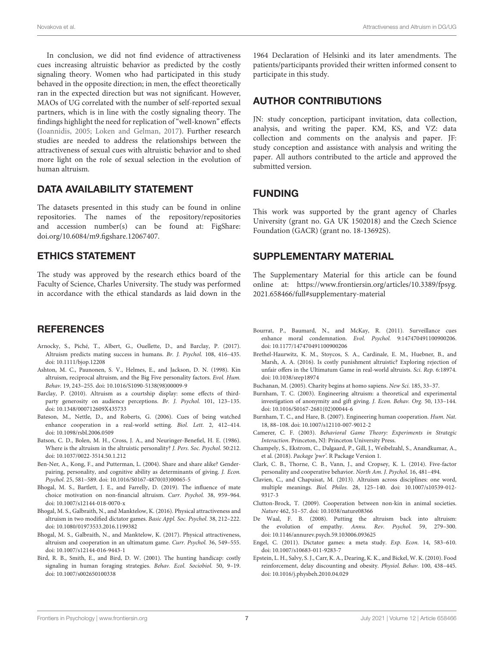In conclusion, we did not find evidence of attractiveness cues increasing altruistic behavior as predicted by the costly signaling theory. Women who had participated in this study behaved in the opposite direction; in men, the effect theoretically ran in the expected direction but was not significant. However, MAOs of UG correlated with the number of self-reported sexual partners, which is in line with the costly signaling theory. The findings highlight the need for replication of "well-known" effects [\(Ioannidis, 2005;](#page-7-46) [Loken and Gelman, 2017\)](#page-7-47). Further research studies are needed to address the relationships between the attractiveness of sexual cues with altruistic behavior and to shed more light on the role of sexual selection in the evolution of human altruism.

## DATA AVAILABILITY STATEMENT

The datasets presented in this study can be found in online repositories. The names of the repository/repositories and accession number(s) can be found at: FigShare: [doi.org/10.6084/m9.figshare.12067407.](https://doi.org/10.6084/m9.figshare.12067407)

## ETHICS STATEMENT

The study was approved by the research ethics board of the Faculty of Science, Charles University. The study was performed in accordance with the ethical standards as laid down in the

## **REFERENCES**

- <span id="page-6-14"></span>Arnocky, S., Piché, T., Albert, G., Ouellette, D., and Barclay, P. (2017). Altruism predicts mating success in humans. Br. J. Psychol. 108, 416–435. doi: [10.1111/bjop.12208](https://doi.org/10.1111/bjop.12208)
- <span id="page-6-15"></span>Ashton, M. C., Paunonen, S. V., Helmes, E., and Jackson, D. N. (1998). Kin altruism, reciprocal altruism, and the Big Five personality factors. Evol. Hum. Behav. 19, 243–255. doi: [10.1016/S1090-5138\(98\)00009-9](https://doi.org/10.1016/S1090-5138(98)00009-9)
- <span id="page-6-13"></span>Barclay, P. (2010). Altruism as a courtship display: some effects of thirdparty generosity on audience perceptions. Br. J. Psychol. 101, 123–135. doi: [10.1348/000712609X435733](https://doi.org/10.1348/000712609X435733)
- <span id="page-6-4"></span>Bateson, M., Nettle, D., and Roberts, G. (2006). Cues of being watched enhance cooperation in a real-world setting. Biol. Lett. 2, 412–414. doi: [10.1098/rsbl.2006.0509](https://doi.org/10.1098/rsbl.2006.0509)
- <span id="page-6-23"></span>Batson, C. D., Bolen, M. H., Cross, J. A., and Neuringer-Benefiel, H. E. (1986). Where is the altruism in the altruistic personality? J. Pers. Soc. Psychol. 50:212. doi: [10.1037/0022-3514.50.1.212](https://doi.org/10.1037/0022-3514.50.1.212)
- <span id="page-6-21"></span>Ben-Ner, A., Kong, F., and Putterman, L. (2004). Share and share alike? Genderpairing, personality, and cognitive ability as determinants of giving. J. Econ. Psychol. 25, 581–589. doi: [10.1016/S0167-4870\(03\)00065-5](https://doi.org/10.1016/S0167-4870(03)00065-5)
- <span id="page-6-12"></span>Bhogal, M. S., Bartlett, J. E., and Farrelly, D. (2019). The influence of mate choice motivation on non-financial altruism. Curr. Psychol. 38, 959–964. doi: [10.1007/s12144-018-0070-x](https://doi.org/10.1007/s12144-018-0070-x)
- <span id="page-6-8"></span>Bhogal, M. S., Galbraith, N., and Manktelow, K. (2016). Physical attractiveness and altruism in two modified dictator games. Basic Appl. Soc. Psychol. 38, 212–222. doi: [10.1080/01973533.2016.1199382](https://doi.org/10.1080/01973533.2016.1199382)
- <span id="page-6-10"></span>Bhogal, M. S., Galbraith, N., and Manktelow, K. (2017). Physical attractiveness, altruism and cooperation in an ultimatum game. Curr. Psychol. 36, 549–555. doi: [10.1007/s12144-016-9443-1](https://doi.org/10.1007/s12144-016-9443-1)
- <span id="page-6-9"></span>Bird, R. B., Smith, E., and Bird, D. W. (2001). The hunting handicap: costly signaling in human foraging strategies. Behav. Ecol. Sociobiol. 50, 9–19. doi: [10.1007/s002650100338](https://doi.org/10.1007/s002650100338)

1964 Declaration of Helsinki and its later amendments. The patients/participants provided their written informed consent to participate in this study.

# AUTHOR CONTRIBUTIONS

JN: study conception, participant invitation, data collection, analysis, and writing the paper. KM, KS, and VZ: data collection and comments on the analysis and paper. JF: study conception and assistance with analysis and writing the paper. All authors contributed to the article and approved the submitted version.

## FUNDING

This work was supported by the grant agency of Charles University (grant no. GA UK 1502018) and the Czech Science Foundation (GACR) (grant no. 18-13692S).

## SUPPLEMENTARY MATERIAL

<span id="page-6-16"></span>The Supplementary Material for this article can be found [online at: https://www.frontiersin.org/articles/10.3389/fpsyg.](https://www.frontiersin.org/articles/10.3389/fpsyg.2021.658466/full#supplementary-material) 2021.658466/full#supplementary-material

- <span id="page-6-6"></span>Bourrat, P., Baumard, N., and McKay, R. (2011). Surveillance cues enhance moral condemnation. Evol. Psychol. 9:147470491100900206. doi: [10.1177/147470491100900206](https://doi.org/10.1177/147470491100900206)
- <span id="page-6-22"></span>Brethel-Haurwitz, K. M., Stoycos, S. A., Cardinale, E. M., Huebner, B., and Marsh, A. A. (2016). Is costly punishment altruistic? Exploring rejection of unfair offers in the Ultimatum Game in real-world altruists. Sci. Rep. 6:18974. doi: [10.1038/srep18974](https://doi.org/10.1038/srep18974)

<span id="page-6-3"></span>Buchanan, M. (2005). Charity begins at homo sapiens. New Sci. 185, 33–37.

- <span id="page-6-7"></span>Burnham, T. C. (2003). Engineering altruism: a theoretical and experimental investigation of anonymity and gift giving. J. Econ. Behav. Org. 50, 133–144. doi: [10.1016/S0167-2681\(02\)00044-6](https://doi.org/10.1016/S0167-2681(02)00044-6)
- <span id="page-6-5"></span>Burnham, T. C., and Hare, B. (2007). Engineering human cooperation. Hum. Nat. 18, 88–108. doi: [10.1007/s12110-007-9012-2](https://doi.org/10.1007/s12110-007-9012-2)
- <span id="page-6-19"></span>Camerer, C. F. (2003). Behavioral Game Theory: Experiments in Strategic Interaction. Princeton, NJ: Princeton University Press.
- <span id="page-6-18"></span>Champely, S., Ekstrom, C., Dalgaard, P., Gill, J., Weibelzahl, S., Anandkumar, A., et al. (2018). Package 'pwr'. R Package Version 1.
- <span id="page-6-17"></span>Clark, C. B., Thorne, C. B., Vann, J., and Cropsey, K. L. (2014). Five-factor personality and cooperative behavior. North Am. J. Psychol. 16, 481–494.
- <span id="page-6-1"></span>Clavien, C., and Chapuisat, M. (2013). Altruism across disciplines: one word, multiple meanings. Biol. Philos. [28, 125–140. doi: 10.1007/s10539-012-](https://doi.org/10.1007/s10539-012-9317-3) 9317-3
- <span id="page-6-0"></span>Clutton-Brock, T. (2009). Cooperation between non-kin in animal societies. Nature 462, 51–57. doi: [10.1038/nature08366](https://doi.org/10.1038/nature08366)
- <span id="page-6-2"></span>De Waal, F. B. (2008). Putting the altruism back into altruism: the evolution of empathy. Annu. Rev. Psychol. 59, 279–300. doi: [10.1146/annurev.psych.59.103006.093625](https://doi.org/10.1146/annurev.psych.59.103006.093625)
- <span id="page-6-20"></span>Engel, C. (2011). Dictator games: a meta study. Exp. Econ. 14, 583–610. doi: [10.1007/s10683-011-9283-7](https://doi.org/10.1007/s10683-011-9283-7)
- <span id="page-6-11"></span>Epstein, L. H., Salvy, S. J., Carr, K. A., Dearing, K. K., and Bickel, W. K. (2010). Food reinforcement, delay discounting and obesity. Physiol. Behav. 100, 438–445. doi: [10.1016/j.physbeh.2010.04.029](https://doi.org/10.1016/j.physbeh.2010.04.029)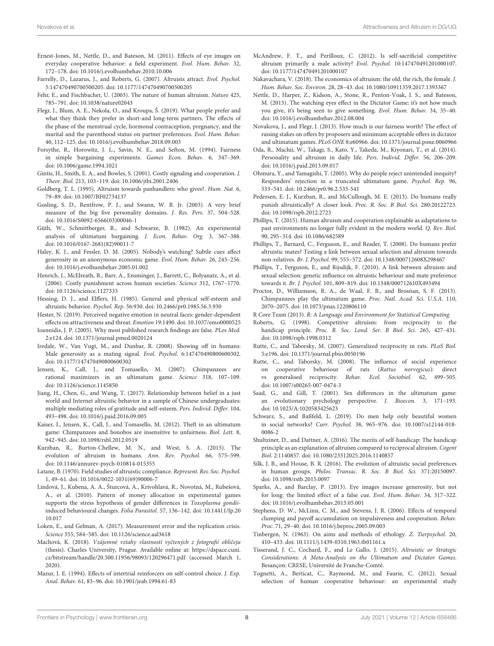- <span id="page-7-9"></span>Ernest-Jones, M., Nettle, D., and Bateson, M. (2011). Effects of eye images on everyday cooperative behavior: a field experiment. Evol. Hum. Behav. 32, 172–178. doi: [10.1016/j.evolhumbehav.2010.10.006](https://doi.org/10.1016/j.evolhumbehav.2010.10.006)
- <span id="page-7-23"></span>Farrelly, D., Lazarus, J., and Roberts, G. (2007). Altruists attract. Evol. Psychol. 5:147470490700500205. doi: [10.1177/147470490700500205](https://doi.org/10.1177/147470490700500205)
- <span id="page-7-0"></span>Fehr, E., and Fischbacher, U. (2003). The nature of human altruism. Nature 425, 785–791. doi: [10.1038/nature02043](https://doi.org/10.1038/nature02043)
- <span id="page-7-32"></span>Flegr, J., Blum, A. E., Nekola, O., and Kroupa, Š. (2019). What people prefer and what they think they prefer in short-and long-term partners. The effects of the phase of the menstrual cycle, hormonal contraception, pregnancy, and the marital and the parenthood status on partner preferences. Evol. Hum. Behav. 40, 112–125. doi: [10.1016/j.evolhumbehav.2018.09.003](https://doi.org/10.1016/j.evolhumbehav.2018.09.003)
- <span id="page-7-14"></span>Forsythe, R., Horowitz, J. L., Savin, N. E., and Sefton, M. (1994). Fairness in simple bargaining experiments. Games Econ. Behav. 6, 347–369. doi: [10.1006/game.1994.1021](https://doi.org/10.1006/game.1994.1021)
- <span id="page-7-4"></span>Gintis, H., Smith, E. A., and Bowles, S. (2001). Costly signaling and cooperation. J. Theor. Biol. 213, 103–119. doi: [10.1006/jtbi.2001.2406](https://doi.org/10.1006/jtbi.2001.2406)
- <span id="page-7-13"></span>Goldberg, T. L. (1995). Altruism towards panhandlers: who gives?. Hum. Nat. 6, 79–89. doi: [10.1007/BF02734137](https://doi.org/10.1007/BF02734137)
- <span id="page-7-34"></span>Gosling, S. D., Rentfrow, P. J., and Swann, W. B. Jr. (2003). A very brief measure of the big five personality domains. J. Res. Pers. 37, 504–528. doi: [10.1016/S0092-6566\(03\)00046-1](https://doi.org/10.1016/S0092-6566(03)00046-1)
- <span id="page-7-15"></span>Güth, W., Schmittberger, R., and Schwarze, B. (1982). An experimental analysis of ultimatum bargaining. J. Econ. Behav. Org. 3, 367–388. doi: [10.1016/0167-2681\(82\)90011-7](https://doi.org/10.1016/0167-2681(82)90011-7)
- <span id="page-7-8"></span>Haley, K. J., and Fessler, D. M. (2005). Nobody's watching? Subtle cues affect generosity in an anonymous economic game. Evol. Hum. Behav. 26, 245–256. doi: [10.1016/j.evolhumbehav.2005.01.002](https://doi.org/10.1016/j.evolhumbehav.2005.01.002)
- <span id="page-7-21"></span>Henrich, J., McElreath, R., Barr, A., Ensminger, J., Barrett, C., Bolyanatz, A., et al. (2006). Costly punishment across human societies. Science 312, 1767–1770. doi: [10.1126/science.1127333](https://doi.org/10.1126/science.1127333)
- <span id="page-7-44"></span>Hessing, D. J., and Elffers, H. (1985). General and physical self-esteem and altruistic behavior. Psychol. Rep. 56:930. doi: [10.2466/pr0.1985.56.3.930](https://doi.org/10.2466/pr0.1985.56.3.930)
- <span id="page-7-40"></span>Hester, N. (2019). Perceived negative emotion in neutral faces: gender-dependent effects on attractiveness and threat. Emotion 19:1490. doi: [10.1037/emo0000525](https://doi.org/10.1037/emo0000525)
- <span id="page-7-46"></span>Ioannidis, J. P. (2005). Why most published research findings are false. PLos Med. 2:e124. doi: [10.1371/journal.pmed.0020124](https://doi.org/10.1371/journal.pmed.0020124)
- <span id="page-7-24"></span>Iredale, W., Van Vugt, M., and Dunbar, R. (2008). Showing off in humans: Male generosity as a mating signal. Evol. Psychol. 6:147470490800600302. doi: [10.1177/147470490800600302](https://doi.org/10.1177/147470490800600302)
- <span id="page-7-16"></span>Jensen, K., Call, J., and Tomasello, M. (2007). Chimpanzees are rational maximizers in an ultimatum game. Science 318, 107–109. doi: [10.1126/science.1145850](https://doi.org/10.1126/science.1145850)
- <span id="page-7-45"></span>Jiang, H., Chen, G., and Wang, T. (2017). Relationship between belief in a just world and Internet altruistic behavior in a sample of Chinese undergraduates: multiple mediating roles of gratitude and self-esteem. Pers. Individ. Differ. 104, 493–498. doi: [10.1016/j.paid.2016.09.005](https://doi.org/10.1016/j.paid.2016.09.005)
- <span id="page-7-19"></span>Kaiser, I., Jensen, K., Call, J., and Tomasello, M. (2012). Theft in an ultimatum game: Chimpanzees and bonobos are insensitive to unfairness. Biol. Lett. 8, 942–945. doi: [10.1098/rsbl.2012.0519](https://doi.org/10.1098/rsbl.2012.0519)
- <span id="page-7-3"></span>Kurzban, R., Burton-Chellew, M. N., and West, S. A. (2015). The evolution of altruism in humans. Ann. Rev. Psychol. 66, 575–599. doi: [10.1146/annurev-psych-010814-015355](https://doi.org/10.1146/annurev-psych-010814-015355)
- <span id="page-7-12"></span>Latane, B. (1970). Field studies of altruistic compliance. Represent. Res. Soc. Psychol. 1, 49–61. doi: [10.1016/0022-1031\(69\)90006-7](https://doi.org/10.1016/0022-1031(69)90006-7)
- <span id="page-7-38"></span>Lindová, J., Kubena, A. A., Šturcová, A., Krivohlavá, R., Novotná, M., Rubešová, A., et al. (2010). Pattern of money allocation in experimental games supports the stress hypothesis of gender differences in Toxoplasma gondiiinduced behavioural changes. Folia Parasitol. [57, 136–142. doi: 10.14411/fp.20](https://doi.org/10.14411/fp.2010.017) 10.017
- <span id="page-7-47"></span>Loken, E., and Gelman, A. (2017). Measurement error and the replication crisis. Science 355, 584–585. doi: [10.1126/science.aal3618](https://doi.org/10.1126/science.aal3618)
- <span id="page-7-33"></span>Machová, K. (2018). Vzájemné vztahy vlastností vyčtených z fotografií obličeju (thesis). Charles University, Prague. Available online at: [https://dspace.cuni.](https://dspace.cuni.cz/bitstream/handle/20.500.11956/98093/120296471.pdf) [cz/bitstream/handle/20.500.11956/98093/120296471.pdf](https://dspace.cuni.cz/bitstream/handle/20.500.11956/98093/120296471.pdf) (accessed March 1, 2020).
- <span id="page-7-28"></span>Mazur, J. E. (1994). Effects of intertrial reinforcers on self-control choice. J. Exp. Anal. Behav. 61, 83–96. doi: [10.1901/jeab.1994.61-83](https://doi.org/10.1901/jeab.1994.61-83)
- <span id="page-7-25"></span>McAndrew, F. T., and Perilloux, C. (2012). Is self-sacrificial competitive altruism primarily a male activity? Evol. Psychol. 10:147470491201000107. doi: [10.1177/147470491201000107](https://doi.org/10.1177/147470491201000107)
- <span id="page-7-41"></span>Nakavachara, V. (2018). The economics of altruism: the old, the rich, the female. J. Hum. Behav. Soc. Environ. 28, 28–43. doi: [10.1080/10911359.2017.1393367](https://doi.org/10.1080/10911359.2017.1393367)
- <span id="page-7-10"></span>Nettle, D., Harper, Z., Kidson, A., Stone, R., Penton-Voak, I. S., and Bateson, M. (2013). The watching eyes effect in the Dictator Game: it's not how much you give, it's being seen to give something. Evol. Hum. Behav. 34, 35–40. doi: [10.1016/j.evolhumbehav.2012.08.004](https://doi.org/10.1016/j.evolhumbehav.2012.08.004)
- <span id="page-7-22"></span>Novakova, J., and Flegr, J. (2013). How much is our fairness worth? The effect of raising stakes on offers by proposers and minimum acceptable offers in dictator and ultimatum games. PLoS ONE 8:e60966. doi: [10.1371/journal.pone.0060966](https://doi.org/10.1371/journal.pone.0060966)
- <span id="page-7-35"></span>Oda, R., Machii, W., Takagi, S., Kato, Y., Takeda, M., Kiyonari, T., et al. (2014). Personality and altruism in daily life. Pers. Individ. Differ. 56, 206–209. doi: [10.1016/j.paid.2013.09.017](https://doi.org/10.1016/j.paid.2013.09.017)
- <span id="page-7-42"></span>Ohmura, Y., and Yamagishi, T. (2005). Why do people reject unintended inequity? Responders' rejection in a truncated ultimatum game. Psychol. Rep. 96, 533–541. doi: [10.2466/pr0.96.2.533-541](https://doi.org/10.2466/pr0.96.2.533-541)
- <span id="page-7-43"></span>Pedersen, E. J., Kurzban, R., and McCullough, M. E. (2013). Do humans really punish altruistically? A closer look. Proc. R. Soc. B Biol. Sci. 280:20122723. doi: [10.1098/rspb.2012.2723](https://doi.org/10.1098/rspb.2012.2723)
- <span id="page-7-7"></span>Phillips, T. (2015). Human altruism and cooperation explainable as adaptations to past environments no longer fully evident in the modern world. Q. Rev. Biol. 90, 295–314. doi: [10.1086/682589](https://doi.org/10.1086/682589)
- <span id="page-7-30"></span>Phillips, T., Barnard, C., Ferguson, E., and Reader, T. (2008). Do humans prefer altruistic mates? Testing a link between sexual selection and altruism towards non-relatives. Br. J. Psychol. 99, 555–572. doi: [10.1348/000712608X298467](https://doi.org/10.1348/000712608X298467)
- <span id="page-7-31"></span>Phillips, T., Ferguson, E., and Rijsdijk, F. (2010). A link between altruism and sexual selection: genetic influence on altruistic behaviour and mate preference towards it. Br. J. Psychol. 101, 809–819. doi: [10.1348/000712610X493494](https://doi.org/10.1348/000712610X493494)
- <span id="page-7-20"></span>Proctor, D., Williamson, R. A., de Waal, F. B., and Brosnan, S. F. (2013). Chimpanzees play the ultimatum game. Proc. Natl. Acad. Sci. U.S.A. 110, 2070–2075. doi: [10.1073/pnas.1220806110](https://doi.org/10.1073/pnas.1220806110)
- <span id="page-7-36"></span>R Core Team (2013). R: A Language and Environment for Statistical Computing.
- <span id="page-7-5"></span>Roberts, G. (1998). Competitive altruism: from reciprocity to the handicap principle. Proc. R. Soc. Lond. Ser. B Biol. Sci. 265, 427–431. doi: [10.1098/rspb.1998.0312](https://doi.org/10.1098/rspb.1998.0312)
- <span id="page-7-17"></span>Rutte, C., and Taborsky, M. (2007). Generalized reciprocity in rats. PLoS Biol. 5:e196. doi: [10.1371/journal.pbio.0050196](https://doi.org/10.1371/journal.pbio.0050196)
- <span id="page-7-18"></span>Rutte, C., and Taborsky, M. (2008). The influence of social experience on cooperative behaviour of rats (Rattus norvegicus): direct vs generalised reciprocity. Behav. Ecol. Sociobiol. 62, 499–505. doi: [10.1007/s00265-007-0474-3](https://doi.org/10.1007/s00265-007-0474-3)
- <span id="page-7-27"></span>Saad, G., and Gill, T. (2001). Sex differences in the ultimatum game: an evolutionary psychology perspective. J. Bioecon. 3, 171–193. doi: [10.1023/A:1020583425623](https://doi.org/10.1023/A:1020583425623)
- <span id="page-7-39"></span>Schwarz, S., and Baßfeld, L. (2019). Do men help only beautiful women in social networks? Curr. Psychol. [38, 965–976. doi: 10.1007/s12144-018-](https://doi.org/10.1007/s12144-018-0086-2) 0086-2
- <span id="page-7-6"></span>Shultziner, D., and Dattner, A. (2016). The merits of self-handicap: The handicap principle as an explanation of altruism compared to reciprocal altruism. Cogent Biol. 2:1140857. doi: [10.1080/23312025.2016.1140857](https://doi.org/10.1080/23312025.2016.1140857)
- <span id="page-7-1"></span>Silk, J. B., and House, B. R. (2016). The evolution of altruistic social preferences in human groups. Philos. Transac. R. Soc. B Biol. Sci. 371:20150097. doi: [10.1098/rstb.2015.0097](https://doi.org/10.1098/rstb.2015.0097)
- <span id="page-7-11"></span>Sparks, A., and Barclay, P. (2013). Eye images increase generosity, but not for long: the limited effect of a false cue. Evol. Hum. Behav. 34, 317–322. doi: [10.1016/j.evolhumbehav.2013.05.001](https://doi.org/10.1016/j.evolhumbehav.2013.05.001)
- <span id="page-7-29"></span>Stephens, D. W., McLinn, C. M., and Stevens, J. R. (2006). Effects of temporal clumping and payoff accumulation on impulsiveness and cooperation. Behav. Proc. 71, 29–40. doi: [10.1016/j.beproc.2005.09.003](https://doi.org/10.1016/j.beproc.2005.09.003)
- <span id="page-7-2"></span>Tinbergen, N. (1963). On aims and methods of ethology. Z. Tierpsychol. 20, 410–433. doi: [10.1111/j.1439-0310.1963.tb01161.x](https://doi.org/10.1111/j.1439-0310.1963.tb01161.x)
- <span id="page-7-37"></span>Tisserand, J. C., Cochard, F., and Le Gallo, J. (2015). Altruistic or Strategic Considerations: A Meta-Analysis on the Ultimatum and Dictator Games. Besançon: CRESE, Université de Franche-Comté.
- <span id="page-7-26"></span>Tognetti, A., Berticat, C., Raymond, M., and Faurie, C. (2012). Sexual selection of human cooperative behaviour: an experimental study